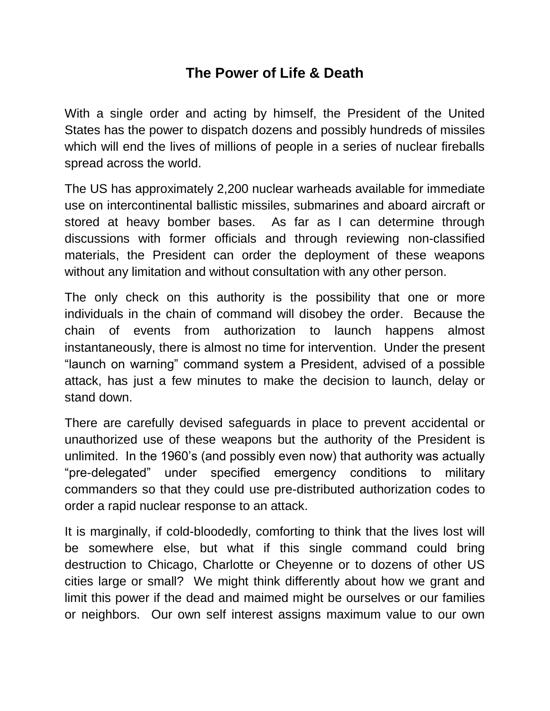## **The Power of Life & Death**

With a single order and acting by himself, the President of the United States has the power to dispatch dozens and possibly hundreds of missiles which will end the lives of millions of people in a series of nuclear fireballs spread across the world.

The US has approximately 2,200 nuclear warheads available for immediate use on intercontinental ballistic missiles, submarines and aboard aircraft or stored at heavy bomber bases. As far as I can determine through discussions with former officials and through reviewing non-classified materials, the President can order the deployment of these weapons without any limitation and without consultation with any other person.

The only check on this authority is the possibility that one or more individuals in the chain of command will disobey the order. Because the chain of events from authorization to launch happens almost instantaneously, there is almost no time for intervention. Under the present "launch on warning" command system a President, advised of a possible attack, has just a few minutes to make the decision to launch, delay or stand down.

There are carefully devised safeguards in place to prevent accidental or unauthorized use of these weapons but the authority of the President is unlimited. In the 1960's (and possibly even now) that authority was actually "pre-delegated" under specified emergency conditions to military commanders so that they could use pre-distributed authorization codes to order a rapid nuclear response to an attack.

It is marginally, if cold-bloodedly, comforting to think that the lives lost will be somewhere else, but what if this single command could bring destruction to Chicago, Charlotte or Cheyenne or to dozens of other US cities large or small? We might think differently about how we grant and limit this power if the dead and maimed might be ourselves or our families or neighbors. Our own self interest assigns maximum value to our own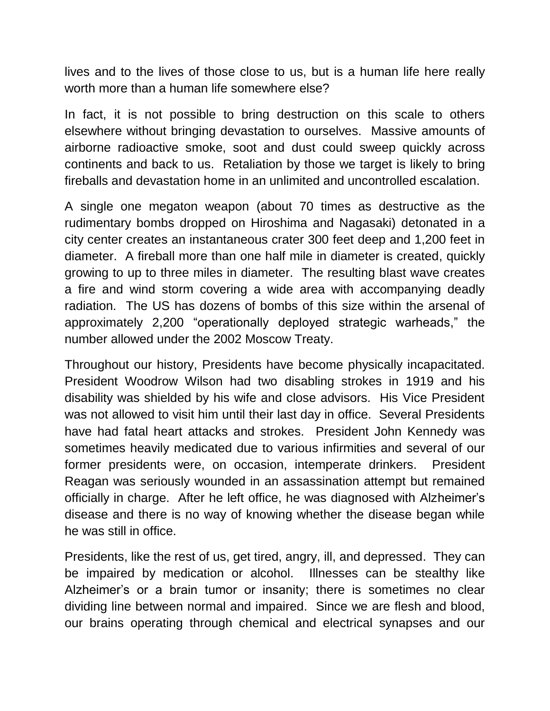lives and to the lives of those close to us, but is a human life here really worth more than a human life somewhere else?

In fact, it is not possible to bring destruction on this scale to others elsewhere without bringing devastation to ourselves. Massive amounts of airborne radioactive smoke, soot and dust could sweep quickly across continents and back to us. Retaliation by those we target is likely to bring fireballs and devastation home in an unlimited and uncontrolled escalation.

A single one megaton weapon (about 70 times as destructive as the rudimentary bombs dropped on Hiroshima and Nagasaki) detonated in a city center creates an instantaneous crater 300 feet deep and 1,200 feet in diameter. A fireball more than one half mile in diameter is created, quickly growing to up to three miles in diameter. The resulting blast wave creates a fire and wind storm covering a wide area with accompanying deadly radiation. The US has dozens of bombs of this size within the arsenal of approximately 2,200 "operationally deployed strategic warheads," the number allowed under the 2002 Moscow Treaty.

Throughout our history, Presidents have become physically incapacitated. President Woodrow Wilson had two disabling strokes in 1919 and his disability was shielded by his wife and close advisors. His Vice President was not allowed to visit him until their last day in office. Several Presidents have had fatal heart attacks and strokes. President John Kennedy was sometimes heavily medicated due to various infirmities and several of our former presidents were, on occasion, intemperate drinkers. President Reagan was seriously wounded in an assassination attempt but remained officially in charge. After he left office, he was diagnosed with Alzheimer's disease and there is no way of knowing whether the disease began while he was still in office.

Presidents, like the rest of us, get tired, angry, ill, and depressed. They can be impaired by medication or alcohol. Illnesses can be stealthy like Alzheimer's or a brain tumor or insanity; there is sometimes no clear dividing line between normal and impaired. Since we are flesh and blood, our brains operating through chemical and electrical synapses and our